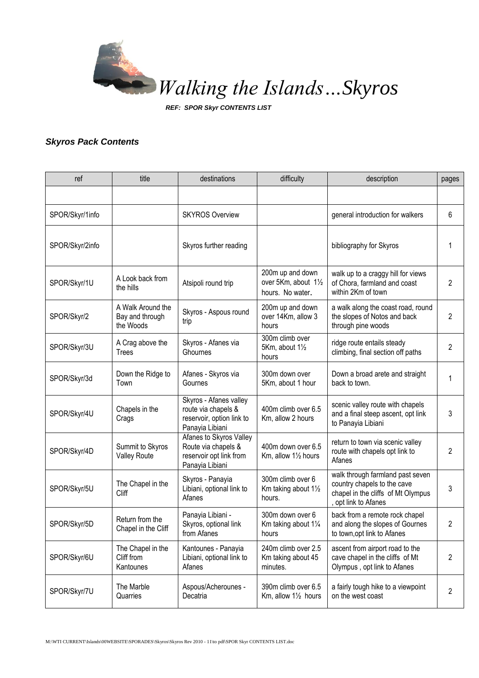

*REF: SPOR Skyr CONTENTS LIST*

## *Skyros Pack Contents*

| ref             | title                                             | destinations                                                                                  | difficulty                                                   | description                                                                                                                   | pages |
|-----------------|---------------------------------------------------|-----------------------------------------------------------------------------------------------|--------------------------------------------------------------|-------------------------------------------------------------------------------------------------------------------------------|-------|
|                 |                                                   |                                                                                               |                                                              |                                                                                                                               |       |
| SPOR/Skyr/1info |                                                   | <b>SKYROS Overview</b>                                                                        |                                                              | general introduction for walkers                                                                                              | 6     |
| SPOR/Skyr/2info |                                                   | Skyros further reading                                                                        |                                                              | bibliography for Skyros                                                                                                       |       |
| SPOR/Skyr/1U    | A Look back from<br>the hills                     | Atsipoli round trip                                                                           | 200m up and down<br>over 5Km, about 11/2<br>hours. No water. | walk up to a craggy hill for views<br>of Chora, farmland and coast<br>within 2Km of town                                      | 2     |
| SPOR/Skyr/2     | A Walk Around the<br>Bay and through<br>the Woods | Skyros - Aspous round<br>trip                                                                 | 200m up and down<br>over 14Km, allow 3<br>hours              | a walk along the coast road, round<br>the slopes of Notos and back<br>through pine woods                                      | 2     |
| SPOR/Skyr/3U    | A Crag above the<br><b>Trees</b>                  | Skyros - Afanes via<br>Ghournes                                                               | 300m climb over<br>5Km, about 11/2<br>hours                  | ridge route entails steady<br>climbing, final section off paths                                                               | 2     |
| SPOR/Skyr/3d    | Down the Ridge to<br>Town                         | Afanes - Skyros via<br>Gournes                                                                | 300m down over<br>5Km, about 1 hour                          | Down a broad arete and straight<br>back to town.                                                                              | 1     |
| SPOR/Skyr/4U    | Chapels in the<br>Crags                           | Skyros - Afanes valley<br>route via chapels &<br>reservoir, option link to<br>Panayia Libiani | 400m climb over 6.5<br>Km, allow 2 hours                     | scenic valley route with chapels<br>and a final steep ascent, opt link<br>to Panayia Libiani                                  | 3     |
| SPOR/Skyr/4D    | Summit to Skyros<br><b>Valley Route</b>           | Afanes to Skyros Valley<br>Route via chapels &<br>reservoir opt link from<br>Panayia Libiani  | 400m down over 6.5<br>Km, allow 11/2 hours                   | return to town via scenic valley<br>route with chapels opt link to<br>Afanes                                                  | 2     |
| SPOR/Skyr/5U    | The Chapel in the<br>Cliff                        | Skyros - Panayia<br>Libiani, optional link to<br>Afanes                                       | 300m climb over 6<br>Km taking about 11/2<br>hours.          | walk through farmland past seven<br>country chapels to the cave<br>chapel in the cliffs of Mt Olympus<br>, opt link to Afanes | 3     |
| SPOR/Skyr/5D    | Return from the<br>Chapel in the Cliff            | Panayia Libiani -<br>Skyros, optional link<br>from Afanes                                     | 300m down over 6<br>Km taking about 11/4<br>hours            | back from a remote rock chapel<br>and along the slopes of Gournes<br>to town, opt link to Afanes                              | 2     |
| SPOR/Skyr/6U    | The Chapel in the<br>Cliff from<br>Kantounes      | Kantounes - Panayia<br>Libiani, optional link to<br>Afanes                                    | 240m climb over 2.5<br>Km taking about 45<br>minutes.        | ascent from airport road to the<br>cave chapel in the cliffs of Mt<br>Olympus, opt link to Afanes                             | 2     |
| SPOR/Skyr/7U    | The Marble<br>Quarries                            | Aspous/Acherounes -<br>Decatria                                                               | 390m climb over 6.5<br>Km, allow 11/2 hours                  | a fairly tough hike to a viewpoint<br>on the west coast                                                                       | 2     |